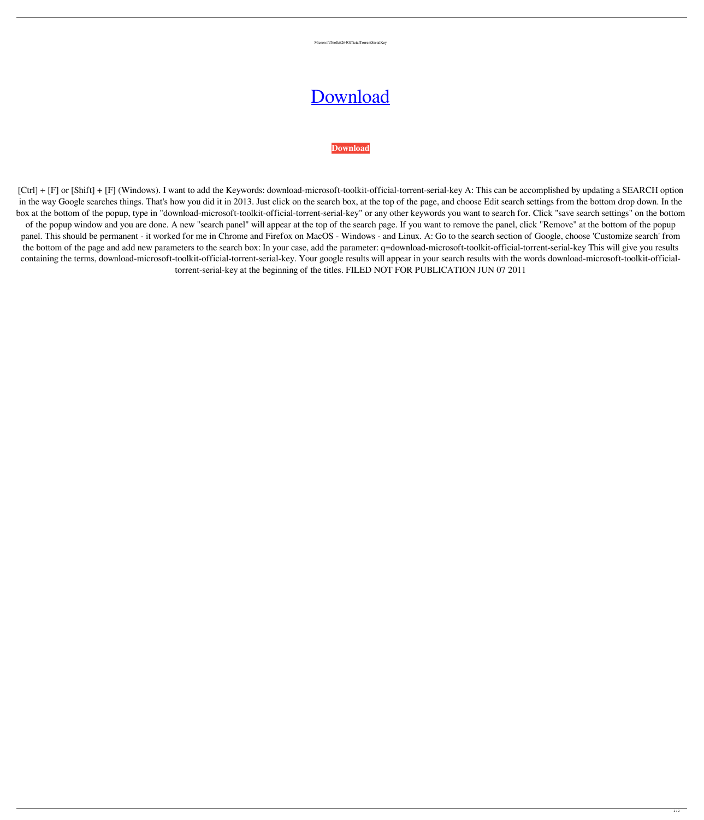MicrosoftToolkit264OfficialTorrentSerialKey

## [Download](https://bytlly.com/2m07e9)

## **[Download](https://bytlly.com/2m07e9)**

[Ctrl] + [F] or [Shift] + [F] (Windows). I want to add the Keywords: download-microsoft-toolkit-official-torrent-serial-key A: This can be accomplished by updating a SEARCH option in the way Google searches things. That's how you did it in 2013. Just click on the search box, at the top of the page, and choose Edit search settings from the bottom drop down. In the box at the bottom of the popup, type in "download-microsoft-toolkit-official-torrent-serial-key" or any other keywords you want to search for. Click "save search settings" on the bottom of the popup window and you are done. A new "search panel" will appear at the top of the search page. If you want to remove the panel, click "Remove" at the bottom of the popup panel. This should be permanent - it worked for me in Chrome and Firefox on MacOS - Windows - and Linux. A: Go to the search section of Google, choose 'Customize search' from the bottom of the page and add new parameters to the search box: In your case, add the parameter: q=download-microsoft-toolkit-official-torrent-serial-key This will give you results containing the terms, download-microsoft-toolkit-official-torrent-serial-key. Your google results will appear in your search results with the words download-microsoft-toolkit-officialtorrent-serial-key at the beginning of the titles. FILED NOT FOR PUBLICATION JUN 07 2011